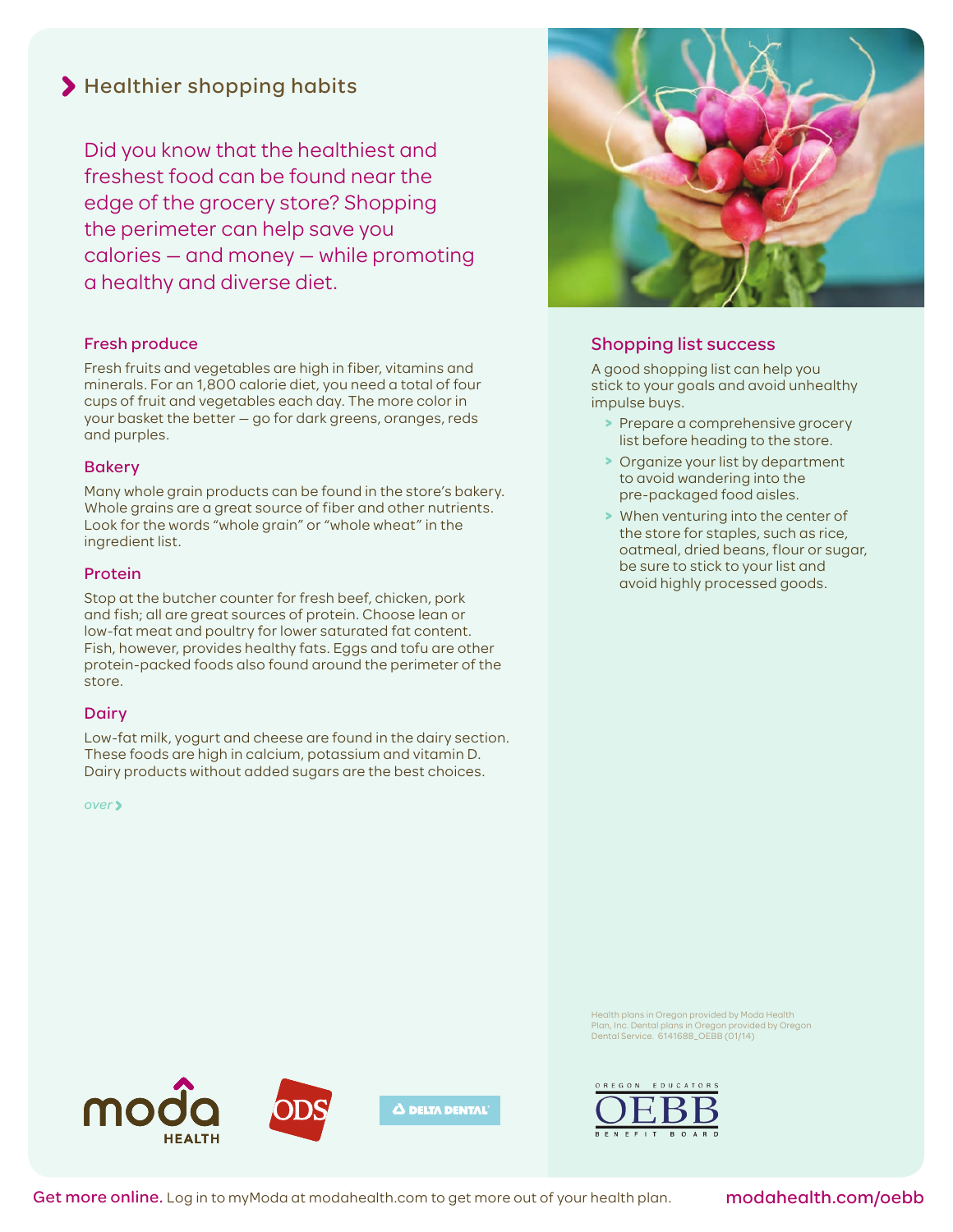# > Healthier shopping habits

Did you know that the healthiest and freshest food can be found near the edge of the grocery store? Shopping the perimeter can help save you calories — and money — while promoting a healthy and diverse diet.

# Fresh produce

Fresh fruits and vegetables are high in fiber, vitamins and minerals. For an 1,800 calorie diet, you need a total of four cups of fruit and vegetables each day. The more color in your basket the better — go for dark greens, oranges, reds and purples.

## Bakery

Many whole grain products can be found in the store's bakery. Whole grains are a great source of fiber and other nutrients. Look for the words "whole grain" or "whole wheat" in the ingredient list.

### Protein

Stop at the butcher counter for fresh beef, chicken, pork and fish; all are great sources of protein. Choose lean or low-fat meat and poultry for lower saturated fat content. Fish, however, provides healthy fats. Eggs and tofu are other protein-packed foods also found around the perimeter of the store.

#### **Dairy**

Low-fat milk, yogurt and cheese are found in the dairy section. These foods are high in calcium, potassium and vitamin D. Dairy products without added sugars are the best choices.

*over*



# Shopping list success

A good shopping list can help you stick to your goals and avoid unhealthy impulse buys.

- **>** Prepare a comprehensive grocery list before heading to the store.
- **>** Organize your list by department to avoid wandering into the pre-packaged food aisles.
- **>** When venturing into the center of the store for staples, such as rice, oatmeal, dried beans, flour or sugar, be sure to stick to your list and avoid highly processed goods.

Health plans in Oregon provided by Moda Health Plan, Inc. Dental plans in Oregon provided by Oregon Dental Service. 6141688\_OEBB (01/14)





Get more online. Log in to myModa at modahealth.com to get more out of your health plan.

modahealth.com/oebb